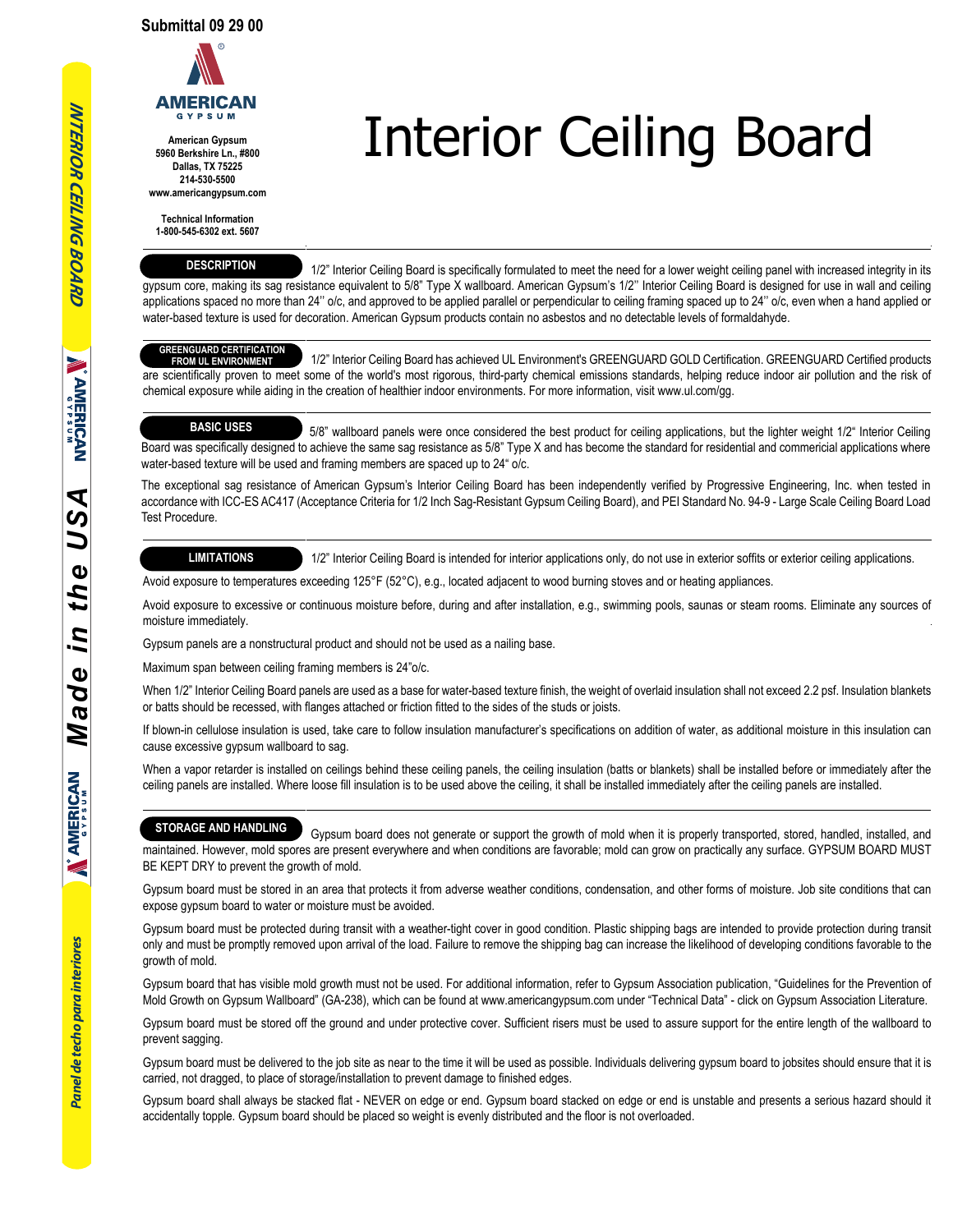

**American Gypsum 5960 Berkshire Ln., #800 Dallas, TX 75225 214-530-5500 www.americangypsum.com**

**Technical Information 1-800-545-6302 ext. 5607**

#### **DESCRIPTION**

 1/2" Interior Ceiling Board is specifically formulated to meet the need for a lower weight ceiling panel with increased integrity in its gypsum core, making its sag resistance equivalent to 5/8" Type X wallboard. American Gypsum's 1/2" Interior Ceiling Board is designed for use in wall and ceiling applications spaced no more than 24" o/c, and approved to be applied parallel or perpendicular to ceiling framing spaced up to 24" o/c, even when a hand applied or water-based texture is used for decoration. American Gypsum products contain no asbestos and no detectable levels of formaldahyde.

Interior Ceiling Board

## **GREENGUARD CERTIFICATION**

 1/2" Interior Ceiling Board has achieved UL Environment's GREENGUARD GOLD Certification. GREENGUARD Certified products are scientifically proven to meet some of the world's most rigorous, third-party chemical emissions standards, helping reduce indoor air pollution and the risk of chemical exposure while aiding in the creation of healthier indoor environments. For more information, visit www.ul.com/gg. **FROM UL ENVIRONMENT**

### **BASIC USES**

 5/8" wallboard panels were once considered the best product for ceiling applications, but the lighter weight 1/2" Interior Ceiling Board was specifically designed to achieve the same sag resistance as 5/8" Type X and has become the standard for residential and commericial applications where water-based texture will be used and framing members are spaced up to 24" o/c.

The exceptional sag resistance of American Gypsum's Interior Ceiling Board has been independently verified by Progressive Engineering, Inc. when tested in accordance with ICC-ES AC417 (Acceptance Criteria for 1/2 Inch Sag-Resistant Gypsum Ceiling Board), and PEI Standard No. 94-9 - Large Scale Ceiling Board Load Test Procedure.

#### **LIMITATIONS**

1/2" Interior Ceiling Board is intended for interior applications only, do not use in exterior soffits or exterior ceiling applications.

Avoid exposure to temperatures exceeding 125°F (52°C), e.g., located adjacent to wood burning stoves and or heating appliances.

Avoid exposure to excessive or continuous moisture before, during and after installation, e.g., swimming pools, saunas or steam rooms. Eliminate any sources of moisture immediately.

Gypsum panels are a nonstructural product and should not be used as a nailing base.

Maximum span between ceiling framing members is 24"o/c.

When 1/2" Interior Ceiling Board panels are used as a base for water-based texture finish, the weight of overlaid insulation shall not exceed 2.2 psf. Insulation blankets or batts should be recessed, with flanges attached or friction fitted to the sides of the studs or joists.

If blown-in cellulose insulation is used, take care to follow insulation manufacturer's specifications on addition of water, as additional moisture in this insulation can cause excessive gypsum wallboard to sag.

When a vapor retarder is installed on ceilings behind these ceiling panels, the ceiling insulation (batts or blankets) shall be installed before or immediately after the ceiling panels are installed. Where loose fill insulation is to be used above the ceiling, it shall be installed immediately after the ceiling panels are installed.

#### **STORAGE AND HANDLING**

 Gypsum board does not generate or support the growth of mold when it is properly transported, stored, handled, installed, and maintained. However, mold spores are present everywhere and when conditions are favorable; mold can grow on practically any surface. GYPSUM BOARD MUST BE KEPT DRY to prevent the growth of mold.

Gypsum board must be stored in an area that protects it from adverse weather conditions, condensation, and other forms of moisture. Job site conditions that can expose gypsum board to water or moisture must be avoided.

Gypsum board must be protected during transit with a weather-tight cover in good condition. Plastic shipping bags are intended to provide protection during transit only and must be promptly removed upon arrival of the load. Failure to remove the shipping bag can increase the likelihood of developing conditions favorable to the growth of mold.

Gypsum board that has visible mold growth must not be used. For additional information, refer to Gypsum Association publication, "Guidelines for the Prevention of Mold Growth on Gypsum Wallboard" (GA-238), which can be found at www.americangypsum.com under "Technical Data" - click on Gypsum Association Literature.

Gypsum board must be stored off the ground and under protective cover. Sufficient risers must be used to assure support for the entire length of the wallboard to prevent sagging.

Gypsum board must be delivered to the job site as near to the time it will be used as possible. Individuals delivering gypsum board to jobsites should ensure that it is carried, not dragged, to place of storage/installation to prevent damage to finished edges.

Gypsum board shall always be stacked flat - NEVER on edge or end. Gypsum board stacked on edge or end is unstable and presents a serious hazard should it accidentally topple. Gypsum board should be placed so weight is evenly distributed and the floor is not overloaded.